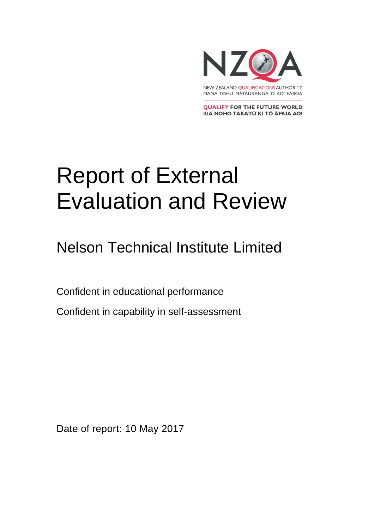

**QUALIFY FOR THE FUTURE WORLD** KIA NOHO TAKATŪ KI TŌ ĀMUA AO!

# Report of External Evaluation and Review

Nelson Technical Institute Limited

Confident in educational performance

Confident in capability in self-assessment

Date of report: 10 May 2017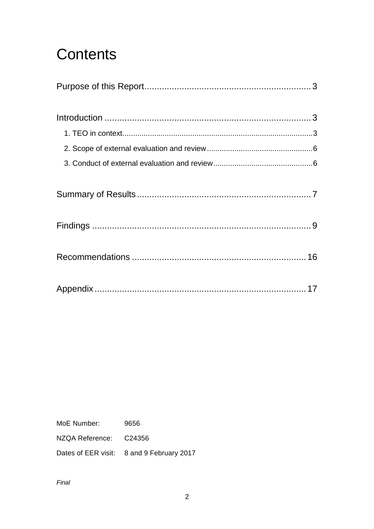## Contents

MoE Number: 9656

NZQA Reference: C24356

Dates of EER visit: 8 and 9 February 2017

Final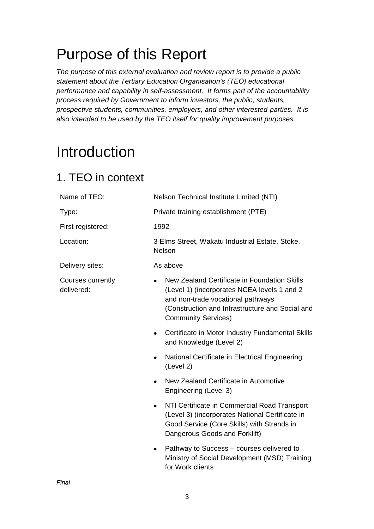## <span id="page-2-0"></span>Purpose of this Report

*The purpose of this external evaluation and review report is to provide a public statement about the Tertiary Education Organisation's (TEO) educational performance and capability in self-assessment. It forms part of the accountability process required by Government to inform investors, the public, students, prospective students, communities, employers, and other interested parties. It is also intended to be used by the TEO itself for quality improvement purposes.* 

## <span id="page-2-1"></span>Introduction

## <span id="page-2-2"></span>1. TEO in context

| Name of TEO:                    | Nelson Technical Institute Limited (NTI)                                                                                                                                                                          |  |  |
|---------------------------------|-------------------------------------------------------------------------------------------------------------------------------------------------------------------------------------------------------------------|--|--|
| Type:                           | Private training establishment (PTE)                                                                                                                                                                              |  |  |
| First registered:               | 1992                                                                                                                                                                                                              |  |  |
| Location:                       | 3 Elms Street, Wakatu Industrial Estate, Stoke,<br><b>Nelson</b>                                                                                                                                                  |  |  |
| Delivery sites:                 | As above                                                                                                                                                                                                          |  |  |
| Courses currently<br>delivered: | New Zealand Certificate in Foundation Skills<br>(Level 1) (incorporates NCEA levels 1 and 2<br>and non-trade vocational pathways<br>(Construction and Infrastructure and Social and<br><b>Community Services)</b> |  |  |
|                                 | Certificate in Motor Industry Fundamental Skills<br>$\bullet$<br>and Knowledge (Level 2)                                                                                                                          |  |  |
|                                 | National Certificate in Electrical Engineering<br>$\bullet$<br>(Level 2)                                                                                                                                          |  |  |
|                                 | New Zealand Certificate in Automotive<br>$\bullet$<br>Engineering (Level 3)                                                                                                                                       |  |  |
|                                 | NTI Certificate in Commercial Road Transport<br>$\bullet$<br>(Level 3) (incorporates National Certificate in<br>Good Service (Core Skills) with Strands in<br>Dangerous Goods and Forklift)                       |  |  |
|                                 | Pathway to Success – courses delivered to<br>$\bullet$<br>Ministry of Social Development (MSD) Training<br>for Work clients                                                                                       |  |  |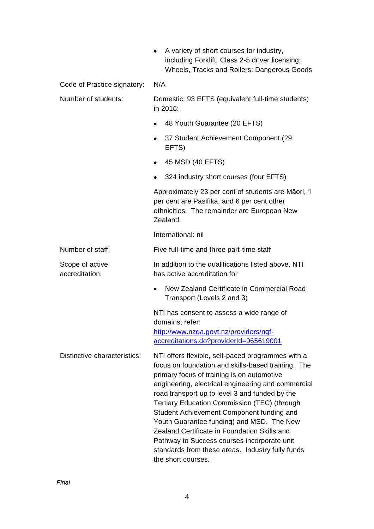| $\bullet$ | A variety of short courses for industry,        |  |  |  |  |
|-----------|-------------------------------------------------|--|--|--|--|
|           | including Forklift; Class 2-5 driver licensing; |  |  |  |  |
|           | Wheels, Tracks and Rollers; Dangerous Goods     |  |  |  |  |

Code of Practice signatory: N/A

| Number of students: | Domestic: 93 EFTS (equivalent full-time students) |  |
|---------------------|---------------------------------------------------|--|
|                     | in 2016:                                          |  |

- 48 Youth Guarantee (20 EFTS)
- 37 Student Achievement Component (29 EFTS)
- 45 MSD (40 EFTS)
- 324 industry short courses (four EFTS)

Approximately 23 per cent of students are Māori, 1 per cent are Pasifika, and 6 per cent other ethnicities. The remainder are European New Zealand.

International: nil

### Number of staff: Five full-time and three part-time staff

#### Scope of active accreditation: In addition to the qualifications listed above, NTI has active accreditation for

• New Zealand Certificate in Commercial Road Transport (Levels 2 and 3)

NTI has consent to assess a wide range of domains; refer: [http://www.nzqa.govt.nz/providers/nqf](http://www.nzqa.govt.nz/providers/nqf-accreditations.do?providerId=965619001)[accreditations.do?providerId=965619001](http://www.nzqa.govt.nz/providers/nqf-accreditations.do?providerId=965619001)

Distinctive characteristics: NTI offers flexible, self-paced programmes with a focus on foundation and skills-based training. The primary focus of training is on automotive engineering, electrical engineering and commercial road transport up to level 3 and funded by the Tertiary Education Commission (TEC) (through Student Achievement Component funding and Youth Guarantee funding) and MSD. The New Zealand Certificate in Foundation Skills and Pathway to Success courses incorporate unit standards from these areas. Industry fully funds the short courses.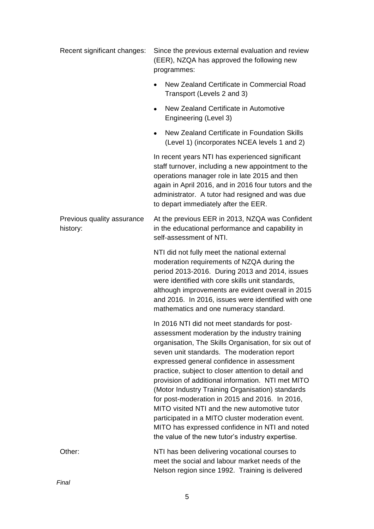| Recent significant changes:            | Since the previous external evaluation and review<br>(EER), NZQA has approved the following new<br>programmes:                                                                                                                                                                                                                                                                                                                                                                                                                                                                                                                                                                    |  |  |
|----------------------------------------|-----------------------------------------------------------------------------------------------------------------------------------------------------------------------------------------------------------------------------------------------------------------------------------------------------------------------------------------------------------------------------------------------------------------------------------------------------------------------------------------------------------------------------------------------------------------------------------------------------------------------------------------------------------------------------------|--|--|
|                                        | New Zealand Certificate in Commercial Road<br>Transport (Levels 2 and 3)                                                                                                                                                                                                                                                                                                                                                                                                                                                                                                                                                                                                          |  |  |
|                                        | New Zealand Certificate in Automotive<br>$\bullet$<br>Engineering (Level 3)                                                                                                                                                                                                                                                                                                                                                                                                                                                                                                                                                                                                       |  |  |
|                                        | New Zealand Certificate in Foundation Skills<br>$\bullet$<br>(Level 1) (incorporates NCEA levels 1 and 2)                                                                                                                                                                                                                                                                                                                                                                                                                                                                                                                                                                         |  |  |
|                                        | In recent years NTI has experienced significant<br>staff turnover, including a new appointment to the<br>operations manager role in late 2015 and then<br>again in April 2016, and in 2016 four tutors and the<br>administrator. A tutor had resigned and was due<br>to depart immediately after the EER.                                                                                                                                                                                                                                                                                                                                                                         |  |  |
| Previous quality assurance<br>history: | At the previous EER in 2013, NZQA was Confident<br>in the educational performance and capability in<br>self-assessment of NTI.                                                                                                                                                                                                                                                                                                                                                                                                                                                                                                                                                    |  |  |
|                                        | NTI did not fully meet the national external<br>moderation requirements of NZQA during the<br>period 2013-2016. During 2013 and 2014, issues<br>were identified with core skills unit standards,<br>although improvements are evident overall in 2015<br>and 2016. In 2016, issues were identified with one<br>mathematics and one numeracy standard.                                                                                                                                                                                                                                                                                                                             |  |  |
|                                        | In 2016 NTI did not meet standards for post-<br>assessment moderation by the industry training<br>organisation, The Skills Organisation, for six out of<br>seven unit standards. The moderation report<br>expressed general confidence in assessment<br>practice, subject to closer attention to detail and<br>provision of additional information. NTI met MITO<br>(Motor Industry Training Organisation) standards<br>for post-moderation in 2015 and 2016. In 2016,<br>MITO visited NTI and the new automotive tutor<br>participated in a MITO cluster moderation event.<br>MITO has expressed confidence in NTI and noted<br>the value of the new tutor's industry expertise. |  |  |
| Other:                                 | NTI has been delivering vocational courses to<br>meet the social and labour market needs of the<br>Nelson region since 1992. Training is delivered                                                                                                                                                                                                                                                                                                                                                                                                                                                                                                                                |  |  |

*Final*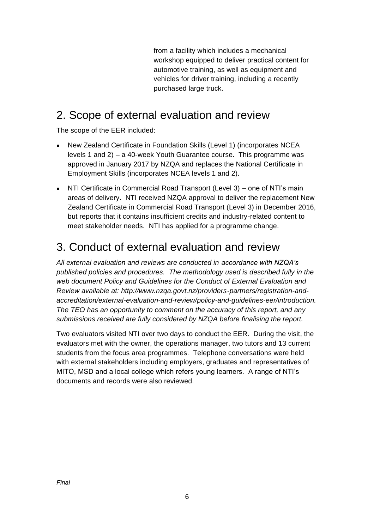from a facility which includes a mechanical workshop equipped to deliver practical content for automotive training, as well as equipment and vehicles for driver training, including a recently purchased large truck.

### <span id="page-5-0"></span>2. Scope of external evaluation and review

The scope of the EER included:

- New Zealand Certificate in Foundation Skills (Level 1) (incorporates NCEA levels 1 and 2) – a 40-week Youth Guarantee course. This programme was approved in January 2017 by NZQA and replaces the National Certificate in Employment Skills (incorporates NCEA levels 1 and 2).
- NTI Certificate in Commercial Road Transport (Level 3) one of NTI's main areas of delivery. NTI received NZQA approval to deliver the replacement New Zealand Certificate in Commercial Road Transport (Level 3) in December 2016, but reports that it contains insufficient credits and industry-related content to meet stakeholder needs. NTI has applied for a programme change.

### <span id="page-5-1"></span>3. Conduct of external evaluation and review

*All external evaluation and reviews are conducted in accordance with NZQA's published policies and procedures. The methodology used is described fully in the web document Policy and Guidelines for the Conduct of External Evaluation and Review available at: http://www.nzqa.govt.nz/providers-partners/registration-andaccreditation/external-evaluation-and-review/policy-and-guidelines-eer/introduction. The TEO has an opportunity to comment on the accuracy of this report, and any submissions received are fully considered by NZQA before finalising the report.*

<span id="page-5-2"></span>Two evaluators visited NTI over two days to conduct the EER. During the visit, the evaluators met with the owner, the operations manager, two tutors and 13 current students from the focus area programmes. Telephone conversations were held with external stakeholders including employers, graduates and representatives of MITO, MSD and a local college which refers young learners. A range of NTI's documents and records were also reviewed.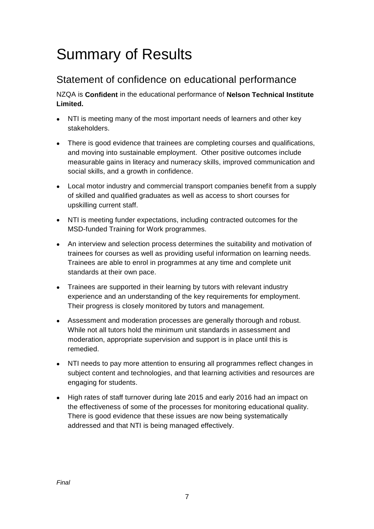## Summary of Results

### Statement of confidence on educational performance

NZQA is **Confident** in the educational performance of **Nelson Technical Institute Limited.**

- NTI is meeting many of the most important needs of learners and other key stakeholders.
- There is good evidence that trainees are completing courses and qualifications, and moving into sustainable employment. Other positive outcomes include measurable gains in literacy and numeracy skills, improved communication and social skills, and a growth in confidence.
- Local motor industry and commercial transport companies benefit from a supply of skilled and qualified graduates as well as access to short courses for upskilling current staff.
- NTI is meeting funder expectations, including contracted outcomes for the MSD-funded Training for Work programmes.
- An interview and selection process determines the suitability and motivation of trainees for courses as well as providing useful information on learning needs. Trainees are able to enrol in programmes at any time and complete unit standards at their own pace.
- Trainees are supported in their learning by tutors with relevant industry experience and an understanding of the key requirements for employment. Their progress is closely monitored by tutors and management.
- Assessment and moderation processes are generally thorough and robust. While not all tutors hold the minimum unit standards in assessment and moderation, appropriate supervision and support is in place until this is remedied.
- NTI needs to pay more attention to ensuring all programmes reflect changes in subject content and technologies, and that learning activities and resources are engaging for students.
- High rates of staff turnover during late 2015 and early 2016 had an impact on the effectiveness of some of the processes for monitoring educational quality. There is good evidence that these issues are now being systematically addressed and that NTI is being managed effectively.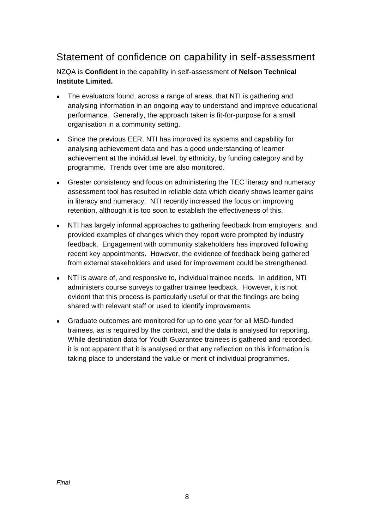#### Statement of confidence on capability in self-assessment

NZQA is **Confident** in the capability in self-assessment of **Nelson Technical Institute Limited.**

- The evaluators found, across a range of areas, that NTI is gathering and analysing information in an ongoing way to understand and improve educational performance. Generally, the approach taken is fit-for-purpose for a small organisation in a community setting.
- Since the previous EER, NTI has improved its systems and capability for analysing achievement data and has a good understanding of learner achievement at the individual level, by ethnicity, by funding category and by programme. Trends over time are also monitored.
- Greater consistency and focus on administering the TEC literacy and numeracy assessment tool has resulted in reliable data which clearly shows learner gains in literacy and numeracy. NTI recently increased the focus on improving retention, although it is too soon to establish the effectiveness of this.
- NTI has largely informal approaches to gathering feedback from employers, and provided examples of changes which they report were prompted by industry feedback. Engagement with community stakeholders has improved following recent key appointments. However, the evidence of feedback being gathered from external stakeholders and used for improvement could be strengthened.
- NTI is aware of, and responsive to, individual trainee needs. In addition, NTI administers course surveys to gather trainee feedback. However, it is not evident that this process is particularly useful or that the findings are being shared with relevant staff or used to identify improvements.
- Graduate outcomes are monitored for up to one year for all MSD-funded trainees, as is required by the contract, and the data is analysed for reporting. While destination data for Youth Guarantee trainees is gathered and recorded, it is not apparent that it is analysed or that any reflection on this information is taking place to understand the value or merit of individual programmes.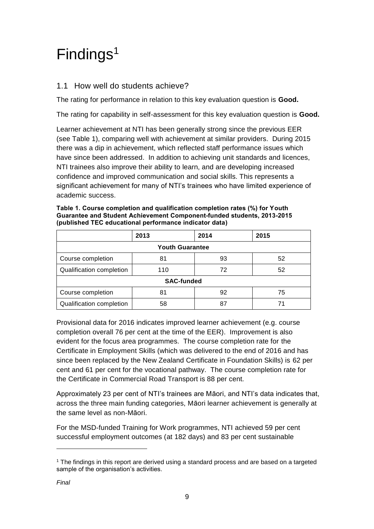## <span id="page-8-0"></span>Findings<sup>1</sup>

#### 1.1 How well do students achieve?

The rating for performance in relation to this key evaluation question is **Good.**

The rating for capability in self-assessment for this key evaluation question is **Good.**

Learner achievement at NTI has been generally strong since the previous EER (see Table 1), comparing well with achievement at similar providers. During 2015 there was a dip in achievement, which reflected staff performance issues which have since been addressed. In addition to achieving unit standards and licences, NTI trainees also improve their ability to learn, and are developing increased confidence and improved communication and social skills. This represents a significant achievement for many of NTI's trainees who have limited experience of academic success.

|                          | 2013 | 2014 | 2015 |  |  |
|--------------------------|------|------|------|--|--|
| <b>Youth Guarantee</b>   |      |      |      |  |  |
| Course completion        | 81   | 93   | 52   |  |  |
| Qualification completion | 110  | 72   | 52   |  |  |
| <b>SAC-funded</b>        |      |      |      |  |  |
| Course completion        | 81   | 92   | 75   |  |  |
| Qualification completion | 58   | 87   | 71   |  |  |

**Table 1. Course completion and qualification completion rates (%) for Youth Guarantee and Student Achievement Component-funded students, 2013-2015 (published TEC educational performance indicator data)** 

Provisional data for 2016 indicates improved learner achievement (e.g. course completion overall 76 per cent at the time of the EER). Improvement is also evident for the focus area programmes. The course completion rate for the Certificate in Employment Skills (which was delivered to the end of 2016 and has since been replaced by the New Zealand Certificate in Foundation Skills) is 62 per cent and 61 per cent for the vocational pathway. The course completion rate for the Certificate in Commercial Road Transport is 88 per cent.

Approximately 23 per cent of NTI's trainees are Māori, and NTI's data indicates that, across the three main funding categories, Māori learner achievement is generally at the same level as non-Māori.

For the MSD-funded Training for Work programmes, NTI achieved 59 per cent successful employment outcomes (at 182 days) and 83 per cent sustainable

 $\overline{a}$ 

<sup>1</sup> The findings in this report are derived using a standard process and are based on a targeted sample of the organisation's activities.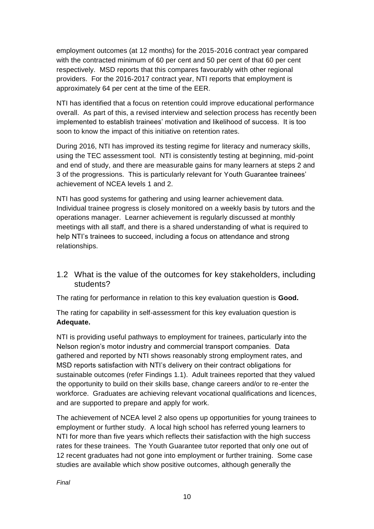employment outcomes (at 12 months) for the 2015-2016 contract year compared with the contracted minimum of 60 per cent and 50 per cent of that 60 per cent respectively. MSD reports that this compares favourably with other regional providers. For the 2016-2017 contract year, NTI reports that employment is approximately 64 per cent at the time of the EER.

NTI has identified that a focus on retention could improve educational performance overall. As part of this, a revised interview and selection process has recently been implemented to establish trainees' motivation and likelihood of success. It is too soon to know the impact of this initiative on retention rates.

During 2016, NTI has improved its testing regime for literacy and numeracy skills, using the TEC assessment tool. NTI is consistently testing at beginning, mid-point and end of study, and there are measurable gains for many learners at steps 2 and 3 of the progressions. This is particularly relevant for Youth Guarantee trainees' achievement of NCEA levels 1 and 2.

NTI has good systems for gathering and using learner achievement data. Individual trainee progress is closely monitored on a weekly basis by tutors and the operations manager. Learner achievement is regularly discussed at monthly meetings with all staff, and there is a shared understanding of what is required to help NTI's trainees to succeed, including a focus on attendance and strong relationships.

1.2 What is the value of the outcomes for key stakeholders, including students?

The rating for performance in relation to this key evaluation question is **Good.**

The rating for capability in self-assessment for this key evaluation question is **Adequate.**

NTI is providing useful pathways to employment for trainees, particularly into the Nelson region's motor industry and commercial transport companies. Data gathered and reported by NTI shows reasonably strong employment rates, and MSD reports satisfaction with NTI's delivery on their contract obligations for sustainable outcomes (refer Findings 1.1). Adult trainees reported that they valued the opportunity to build on their skills base, change careers and/or to re-enter the workforce. Graduates are achieving relevant vocational qualifications and licences, and are supported to prepare and apply for work.

The achievement of NCEA level 2 also opens up opportunities for young trainees to employment or further study. A local high school has referred young learners to NTI for more than five years which reflects their satisfaction with the high success rates for these trainees. The Youth Guarantee tutor reported that only one out of 12 recent graduates had not gone into employment or further training. Some case studies are available which show positive outcomes, although generally the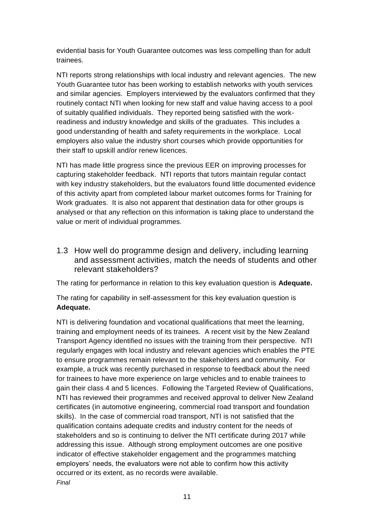evidential basis for Youth Guarantee outcomes was less compelling than for adult trainees.

NTI reports strong relationships with local industry and relevant agencies. The new Youth Guarantee tutor has been working to establish networks with youth services and similar agencies. Employers interviewed by the evaluators confirmed that they routinely contact NTI when looking for new staff and value having access to a pool of suitably qualified individuals. They reported being satisfied with the workreadiness and industry knowledge and skills of the graduates. This includes a good understanding of health and safety requirements in the workplace. Local employers also value the industry short courses which provide opportunities for their staff to upskill and/or renew licences.

NTI has made little progress since the previous EER on improving processes for capturing stakeholder feedback. NTI reports that tutors maintain regular contact with key industry stakeholders, but the evaluators found little documented evidence of this activity apart from completed labour market outcomes forms for Training for Work graduates. It is also not apparent that destination data for other groups is analysed or that any reflection on this information is taking place to understand the value or merit of individual programmes.

1.3 How well do programme design and delivery, including learning and assessment activities, match the needs of students and other relevant stakeholders?

The rating for performance in relation to this key evaluation question is **Adequate.**

The rating for capability in self-assessment for this key evaluation question is **Adequate.**

*Final* NTI is delivering foundation and vocational qualifications that meet the learning, training and employment needs of its trainees. A recent visit by the New Zealand Transport Agency identified no issues with the training from their perspective. NTI regularly engages with local industry and relevant agencies which enables the PTE to ensure programmes remain relevant to the stakeholders and community. For example, a truck was recently purchased in response to feedback about the need for trainees to have more experience on large vehicles and to enable trainees to gain their class 4 and 5 licences. Following the Targeted Review of Qualifications, NTI has reviewed their programmes and received approval to deliver New Zealand certificates (in automotive engineering, commercial road transport and foundation skills). In the case of commercial road transport, NTI is not satisfied that the qualification contains adequate credits and industry content for the needs of stakeholders and so is continuing to deliver the NTI certificate during 2017 while addressing this issue. Although strong employment outcomes are one positive indicator of effective stakeholder engagement and the programmes matching employers' needs, the evaluators were not able to confirm how this activity occurred or its extent, as no records were available.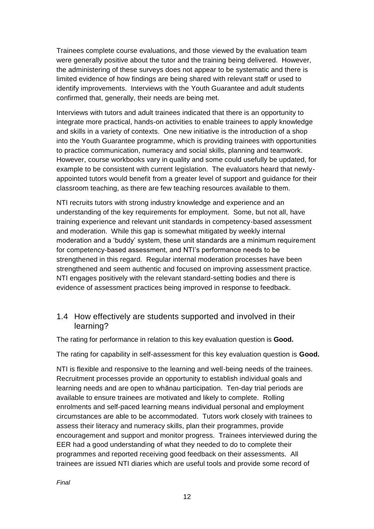Trainees complete course evaluations, and those viewed by the evaluation team were generally positive about the tutor and the training being delivered. However, the administering of these surveys does not appear to be systematic and there is limited evidence of how findings are being shared with relevant staff or used to identify improvements. Interviews with the Youth Guarantee and adult students confirmed that, generally, their needs are being met.

Interviews with tutors and adult trainees indicated that there is an opportunity to integrate more practical, hands-on activities to enable trainees to apply knowledge and skills in a variety of contexts. One new initiative is the introduction of a shop into the Youth Guarantee programme, which is providing trainees with opportunities to practice communication, numeracy and social skills, planning and teamwork. However, course workbooks vary in quality and some could usefully be updated, for example to be consistent with current legislation. The evaluators heard that newlyappointed tutors would benefit from a greater level of support and guidance for their classroom teaching, as there are few teaching resources available to them.

NTI recruits tutors with strong industry knowledge and experience and an understanding of the key requirements for employment. Some, but not all, have training experience and relevant unit standards in competency-based assessment and moderation. While this gap is somewhat mitigated by weekly internal moderation and a 'buddy' system, these unit standards are a minimum requirement for competency-based assessment, and NTI's performance needs to be strengthened in this regard. Regular internal moderation processes have been strengthened and seem authentic and focused on improving assessment practice. NTI engages positively with the relevant standard-setting bodies and there is evidence of assessment practices being improved in response to feedback.

#### 1.4 How effectively are students supported and involved in their learning?

The rating for performance in relation to this key evaluation question is **Good.**

The rating for capability in self-assessment for this key evaluation question is **Good.**

NTI is flexible and responsive to the learning and well-being needs of the trainees. Recruitment processes provide an opportunity to establish individual goals and learning needs and are open to whānau participation. Ten-day trial periods are available to ensure trainees are motivated and likely to complete. Rolling enrolments and self-paced learning means individual personal and employment circumstances are able to be accommodated. Tutors work closely with trainees to assess their literacy and numeracy skills, plan their programmes, provide encouragement and support and monitor progress. Trainees interviewed during the EER had a good understanding of what they needed to do to complete their programmes and reported receiving good feedback on their assessments. All trainees are issued NTI diaries which are useful tools and provide some record of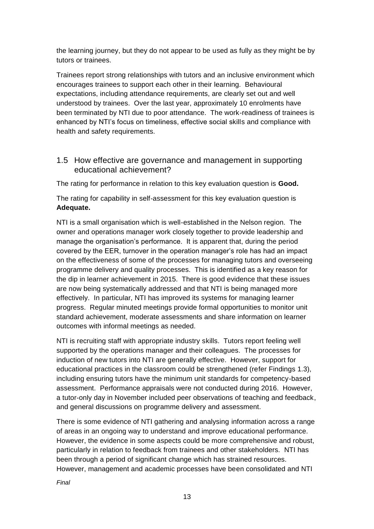the learning journey, but they do not appear to be used as fully as they might be by tutors or trainees.

Trainees report strong relationships with tutors and an inclusive environment which encourages trainees to support each other in their learning. Behavioural expectations, including attendance requirements, are clearly set out and well understood by trainees. Over the last year, approximately 10 enrolments have been terminated by NTI due to poor attendance. The work-readiness of trainees is enhanced by NTI's focus on timeliness, effective social skills and compliance with health and safety requirements.

#### 1.5 How effective are governance and management in supporting educational achievement?

The rating for performance in relation to this key evaluation question is **Good.**

The rating for capability in self-assessment for this key evaluation question is **Adequate.**

NTI is a small organisation which is well-established in the Nelson region. The owner and operations manager work closely together to provide leadership and manage the organisation's performance. It is apparent that, during the period covered by the EER, turnover in the operation manager's role has had an impact on the effectiveness of some of the processes for managing tutors and overseeing programme delivery and quality processes. This is identified as a key reason for the dip in learner achievement in 2015. There is good evidence that these issues are now being systematically addressed and that NTI is being managed more effectively. In particular, NTI has improved its systems for managing learner progress. Regular minuted meetings provide formal opportunities to monitor unit standard achievement, moderate assessments and share information on learner outcomes with informal meetings as needed.

NTI is recruiting staff with appropriate industry skills. Tutors report feeling well supported by the operations manager and their colleagues. The processes for induction of new tutors into NTI are generally effective. However, support for educational practices in the classroom could be strengthened (refer Findings 1.3), including ensuring tutors have the minimum unit standards for competency-based assessment. Performance appraisals were not conducted during 2016. However, a tutor-only day in November included peer observations of teaching and feedback, and general discussions on programme delivery and assessment.

There is some evidence of NTI gathering and analysing information across a range of areas in an ongoing way to understand and improve educational performance. However, the evidence in some aspects could be more comprehensive and robust, particularly in relation to feedback from trainees and other stakeholders. NTI has been through a period of significant change which has strained resources. However, management and academic processes have been consolidated and NTI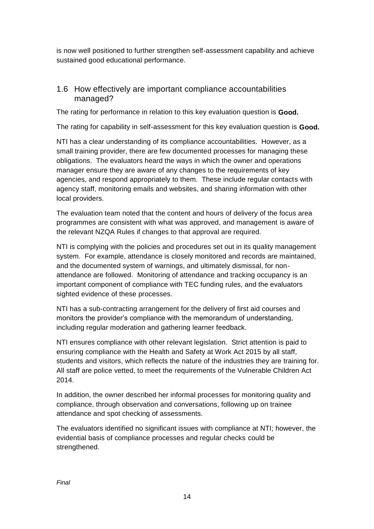is now well positioned to further strengthen self-assessment capability and achieve sustained good educational performance.

#### 1.6 How effectively are important compliance accountabilities managed?

The rating for performance in relation to this key evaluation question is **Good.**

The rating for capability in self-assessment for this key evaluation question is **Good.**

NTI has a clear understanding of its compliance accountabilities. However, as a small training provider, there are few documented processes for managing these obligations. The evaluators heard the ways in which the owner and operations manager ensure they are aware of any changes to the requirements of key agencies, and respond appropriately to them. These include regular contacts with agency staff, monitoring emails and websites, and sharing information with other local providers.

The evaluation team noted that the content and hours of delivery of the focus area programmes are consistent with what was approved, and management is aware of the relevant NZQA Rules if changes to that approval are required.

NTI is complying with the policies and procedures set out in its quality management system. For example, attendance is closely monitored and records are maintained, and the documented system of warnings, and ultimately dismissal, for nonattendance are followed. Monitoring of attendance and tracking occupancy is an important component of compliance with TEC funding rules, and the evaluators sighted evidence of these processes.

NTI has a sub-contracting arrangement for the delivery of first aid courses and monitors the provider's compliance with the memorandum of understanding, including regular moderation and gathering learner feedback.

NTI ensures compliance with other relevant legislation. Strict attention is paid to ensuring compliance with the Health and Safety at Work Act 2015 by all staff, students and visitors, which reflects the nature of the industries they are training for. All staff are police vetted, to meet the requirements of the Vulnerable Children Act 2014.

In addition, the owner described her informal processes for monitoring quality and compliance, through observation and conversations, following up on trainee attendance and spot checking of assessments.

The evaluators identified no significant issues with compliance at NTI; however, the evidential basis of compliance processes and regular checks could be strengthened.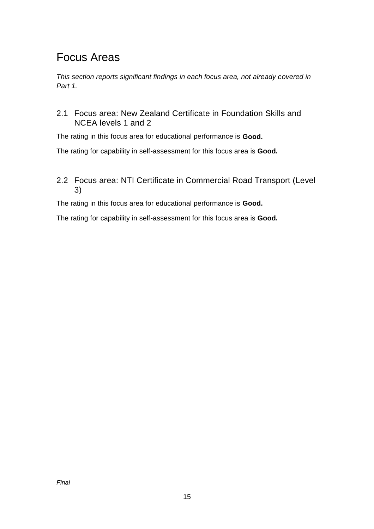### Focus Areas

*This section reports significant findings in each focus area, not already covered in Part 1.* 

2.1 Focus area: New Zealand Certificate in Foundation Skills and NCEA levels 1 and 2

The rating in this focus area for educational performance is **Good.**

The rating for capability in self-assessment for this focus area is **Good.**

#### 2.2 Focus area: NTI Certificate in Commercial Road Transport (Level 3)

The rating in this focus area for educational performance is **Good.**

The rating for capability in self-assessment for this focus area is **Good.**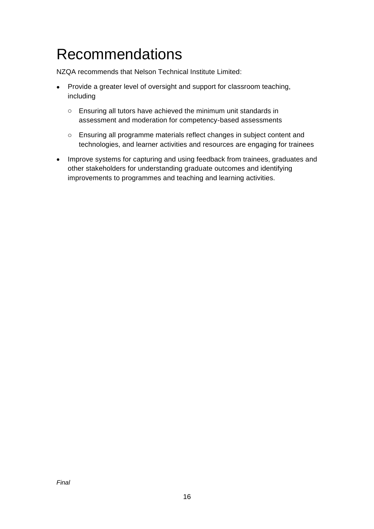## <span id="page-15-0"></span>Recommendations

NZQA recommends that Nelson Technical Institute Limited:

- Provide a greater level of oversight and support for classroom teaching, including
	- o Ensuring all tutors have achieved the minimum unit standards in assessment and moderation for competency-based assessments
	- o Ensuring all programme materials reflect changes in subject content and technologies, and learner activities and resources are engaging for trainees
- Improve systems for capturing and using feedback from trainees, graduates and other stakeholders for understanding graduate outcomes and identifying improvements to programmes and teaching and learning activities.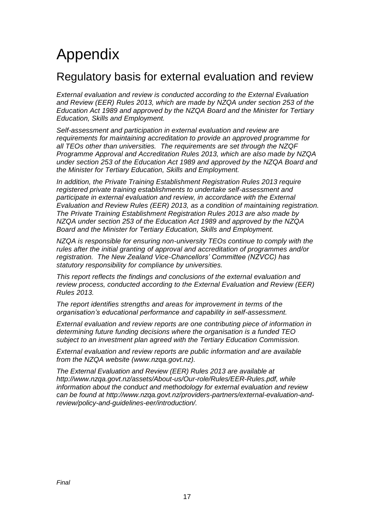## <span id="page-16-0"></span>Appendix

### Regulatory basis for external evaluation and review

*External evaluation and review is conducted according to the External Evaluation and Review (EER) Rules 2013, which are made by NZQA under section 253 of the Education Act 1989 and approved by the NZQA Board and the Minister for Tertiary Education, Skills and Employment.*

*Self-assessment and participation in external evaluation and review are requirements for maintaining accreditation to provide an approved programme for all TEOs other than universities. The requirements are set through the NZQF Programme Approval and Accreditation Rules 2013, which are also made by NZQA under section 253 of the Education Act 1989 and approved by the NZQA Board and the Minister for Tertiary Education, Skills and Employment.* 

*In addition, the Private Training Establishment Registration Rules 2013 require registered private training establishments to undertake self-assessment and participate in external evaluation and review, in accordance with the External Evaluation and Review Rules (EER) 2013, as a condition of maintaining registration. The Private Training Establishment Registration Rules 2013 are also made by NZQA under section 253 of the Education Act 1989 and approved by the NZQA Board and the Minister for Tertiary Education, Skills and Employment.* 

*NZQA is responsible for ensuring non-university TEOs continue to comply with the rules after the initial granting of approval and accreditation of programmes and/or registration. The New Zealand Vice-Chancellors' Committee (NZVCC) has statutory responsibility for compliance by universities.* 

*This report reflects the findings and conclusions of the external evaluation and review process, conducted according to the External Evaluation and Review (EER) Rules 2013.*

*The report identifies strengths and areas for improvement in terms of the organisation's educational performance and capability in self-assessment.*

*External evaluation and review reports are one contributing piece of information in determining future funding decisions where the organisation is a funded TEO subject to an investment plan agreed with the Tertiary Education Commission.*

*External evaluation and review reports are public information and are available from the NZQA website [\(www.nzqa.govt.nz\)](http://www.nzqa.govt.nz/).*

*The External Evaluation and Review (EER) Rules 2013 are available at [http://www.nzqa.govt.nz/assets/About-us/Our-role/Rules/EER-Rules.pdf,](http://www.nzqa.govt.nz/assets/About-us/Our-role/Rules/EER-Rules.pdf) while information about the conduct and methodology for external evaluation and review can be found at [http://www.nzqa.govt.nz/providers-partners/external-evaluation-and](http://www.nzqa.govt.nz/providers-partners/external-evaluation-and-review/policy-and-guidelines-eer/introduction/)[review/policy-and-guidelines-eer/introduction/.](http://www.nzqa.govt.nz/providers-partners/external-evaluation-and-review/policy-and-guidelines-eer/introduction/)*